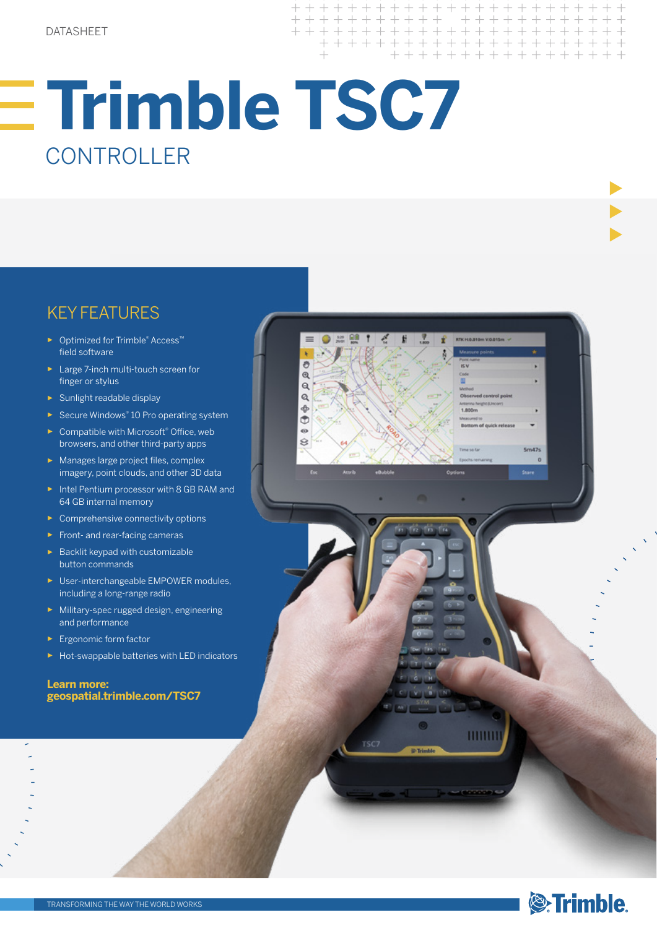ð  $\Theta$  $\alpha$ Q  $\ddot{\Phi}$ ŏ  $\ddot{\circ}$  $\hat{S}$ 

r.

TSC:

 $+ + +$ 

 $\overline{\phantom{0}}$ 

 $\perp$  $\rightarrow$ 

> $+$  $+$  $\overline{\phantom{0}}$

 $++$ 

 $+ + + + + + +$ 

 $+ + + + + +$ 

 $\perp$  $\perp$  $\perp$  $\perp$   $++$ 

+ + + + + + + + + +

+ + + + + + + + + +

 $+ + + + + + + +$ 

 $5m47s$  $\sim$   $+$ 

# KEY FEATURES

- ► Optimized for Trimble® Access™ field software
- ► Large 7-inch multi-touch screen for finger or stylus
- ► Sunlight readable display
- ► Secure Windows® 10 Pro operating system
- ► Compatible with Microsoft® Office, web browsers, and other third-party apps
- ► Manages large project files, complex imagery, point clouds, and other 3D data
- ► Intel Pentium processor with 8 GB RAM and 64 GB internal memory
- ► Comprehensive connectivity options
- ► Front- and rear-facing cameras
- ► Backlit keypad with customizable button commands
- ► User-interchangeable EMPOWER modules, including a long-range radio
- ► Military-spec rugged design, engineering and performance
- ► Ergonomic form factor
- ► Hot-swappable batteries with LED indicators

**Learn more: geospatial.trimble.com/TSC7**